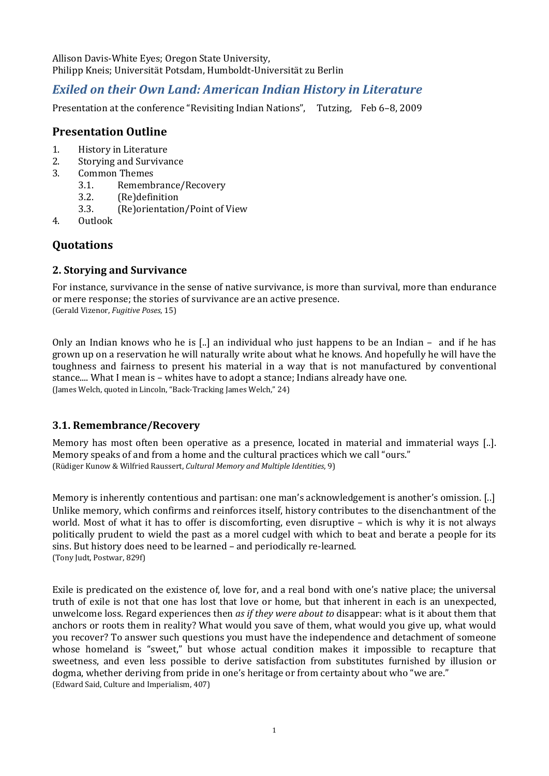Allison Davis-White Eyes; Oregon State University, Philipp Kneis; Universität Potsdam, Humboldt-Universität zu Berlin

# *Exiled on their Own Land: American Indian History in Literature*

Presentation at the conference "Revisiting Indian Nations", Tutzing, Feb 6–8, 2009

## **Presentation Outline**

- 1. History in Literatu re
- 2. Storying and Survivance
- 3. Common Themes
	- 3.1. Remembrance/Recovery
	- (Re)definition 3.2.
	- (Re)orientation/Point of View 3.3.
- 4. Outlook

# **Quotations**

### **2. Storying and Survivance**

For instance, survivance in the sense of native survivance, is more than survival, more than endurance or mere response; the stories of survivance are an active presence. (Gerald Vizenor, *Fugitive Poses*, 15)

Only an Indian knows who he is [..] an individual who just happens to be an Indian – and if he has grown up on a reservation he will naturally write about what he knows. And hopefully he will have the toughness and fairness to present his material in a way that is not manufactured by conventional stance.... What I mean is - whites have to adopt a stance; Indians already have one. (James Welch, quoted in Lincoln, "Back-Tracking James Welch," 24)

### **3.1. Remembrance/Recovery**

Memory has most often been operative as a presence, located in material and immaterial ways [..]. Memory speaks of and from a home and the cultural practices which we call "ours." (Rüdiger Kunow & Wilfried Raussert, *Cultural Memory and Multiple Identities*, 9)

Memory is inherently contentious and partisan: one man's acknowledgement is another's omission. [..] Unlike memory, which confirms and reinforces itself, history contributes to the disenchantment of the world. Most of what it has to offer is discomforting, even disruptive – which is why it is not always politically prudent to wield the past as a morel cudgel with which to beat and berate a people for its sins. But history does need to be learned – and periodically re-learned. (Tony Judt, Postwar, 829f)

Exile is predicated on the existence of, love for, and a real bond with one's native place; the universal truth of exile is not that one has lost that love or home, but that inherent in each is an unexpected, unwelcome loss. Regard experiences then *as if they were about to* disappear: what is it about them that anchors or roots them in reality? What would you save of them, what would you give up, what would you recover? To answer such questions you must have the independence and detachment of someone whose homeland is "sweet," but whose actual condition makes it impossible to recapture that sweetness, and even less possible to derive satisfaction from substitutes furnished by illusion or dogma, whether deriving from pride in one's heritage or from certainty about who "we are." (Edward Said, Culture and Imperialism, 407)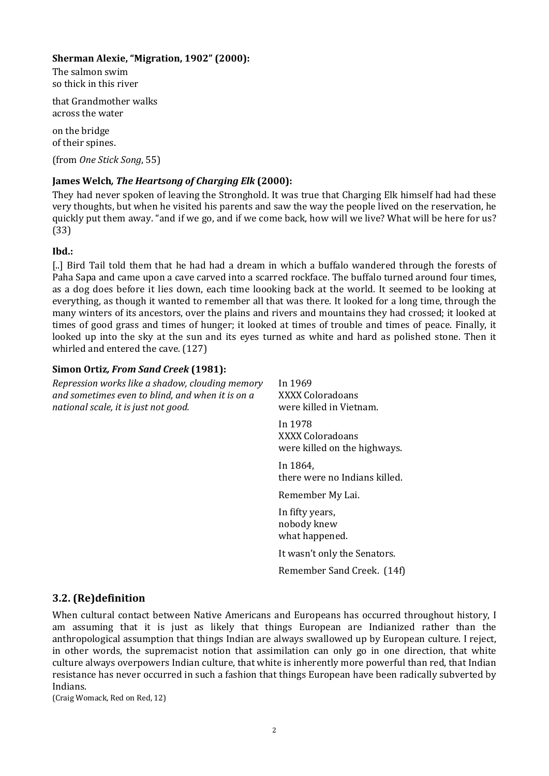#### **Sherman Alexie, "M igration, 1902" (2000):**

The salmon swim so thick in this river

that Grandmother walks across the water

on the bridge of their spines.

(from *One Stick Song*, 55)

### **James Welch***, The Heartsong of Charging Elk* **(2000):**

They had never spoken of leaving the Stronghold. It was true that Charging Elk himself had had these very thoughts, but when he visited his parents and saw the way the people lived on the reservation, he quickly put them away. "and if we go, and if we come back, how will we live? What will be here for us? (33)

#### **Ibd.:**

[..] Bird Tail told them that he had had a dream in which a buffalo wandered through the forests of Paha Sapa and came upon a cave carved into a scarred rockface. The buffalo turned around four times, as a dog does before it lies down, each time loooking back at the world. It seemed to be looking at everything, as though it wanted to remember all that was there. It looked for a long time, through the many winters of its ancestors, over the plains and rivers and mountains they had crossed; it looked at times of good grass and times of hunger; it looked at times of trouble and times of peace. Finally, it looked up into the sky at the sun and its eyes turned as white and hard as polished stone. Then it whirled and entered the cave. (127)

### **Simon Ortiz***, From Sand Creek* **(1981):**

| Repression works like a shadow, clouding memory<br>and sometimes even to blind, and when it is on a<br>national scale, it is just not good. | In 1969<br>XXXX Coloradoans<br>were killed in Vietnam.      |
|---------------------------------------------------------------------------------------------------------------------------------------------|-------------------------------------------------------------|
|                                                                                                                                             | In 1978<br>XXXX Coloradoans<br>were killed on the highways. |
|                                                                                                                                             | In 1864,<br>there were no Indians killed.                   |
|                                                                                                                                             | Remember My Lai.                                            |
|                                                                                                                                             | In fifty years,<br>nobody knew<br>what happened.            |
|                                                                                                                                             | It wasn't only the Senators.                                |
|                                                                                                                                             | Remember Sand Creek. (14f)                                  |
| 3.2. (Re)definition                                                                                                                         |                                                             |

When cultural contact between Native Americans and Europeans has occurred throughout history, I am assuming that it is just as likely that things European are Indianized rather than the anthropological assumption that things Indian are always swallowed up by European culture. I reject, in other words, the supremacist notion that assimilation can only go in one direction, that white culture always overpowers Indian culture, that white is inherently more powerful than red, that Indian resistance has never occurred in such a fashion that things European have been radically subverted by Indians.

(Craig Womack, Red on Red, 12)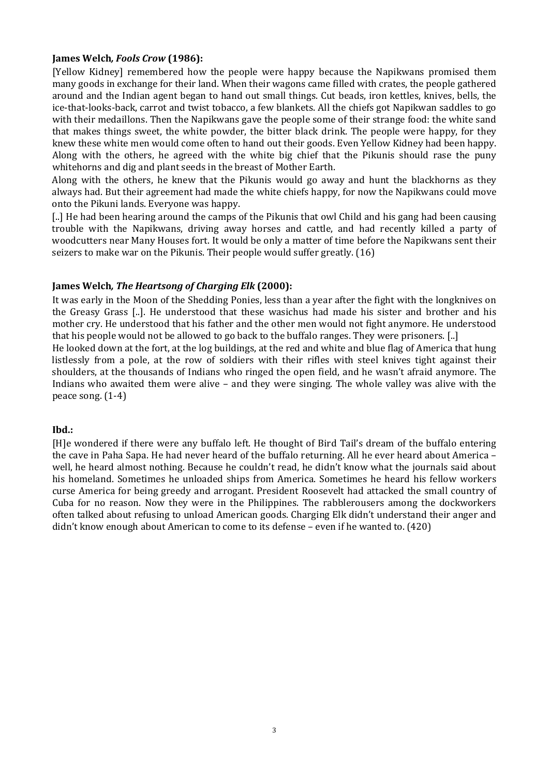#### **James Welch***, Fools Crow* **(1986):**

[Yellow Kidney] remembered how the people were happy because the Napikwans promised them many goods in exchange for their land. When their wagons came filled with crates, the people gathered around and the Indian agent began to hand out small things. Cut beads, iron kettles, knives, bells, the ice-that-looks-back, carrot and twist tobacco, a few blankets. All the chiefs got Napikwan saddles to go with their medaillons. Then the Napikwans gave the people some of their strange food: the white sand that makes things sweet, the white powder, the bitter black drink. The people were happy, for they knew these white men would come often to hand out their goods. Even Yellow Kidney had been happy. Along with the others, he agreed with the white big chief that the Pikunis should rase the puny whitehorns and dig and plant seeds in the breast of Mother Earth.

Along with the others, he knew that the Pikunis would go away and hunt the blackhorns as they always had. But their agreement had made the white chiefs happy, for now the Napikwans could move onto the Pikuni lands. Everyone was happy.

[..] He had been hearing around the camps of the Pikunis that owl Child and his gang had been causing trouble with the Napikwans, driving away horses and cattle, and had recently killed a party of woodcutters near Many Houses fort. It would be only a matter of time before the Napikwans sent their seizers to make war on the Pikunis. Their people would suffer greatly. (16)

#### **James Welch***, The Heartsong of Charging Elk* **(2000):**

It was early in the Moon of the Shedding Ponies, less than a year after the fight with the longknives on the Greasy Grass [..]. He understood that these wasichus had made his sister and brother and his mother cry. He understood that his father and the other men would not fight anymore. He understood that his people would not be allowed to go back to the buffalo ranges. They were prisoners. [..]

He looked down at the fort, at the log buildings, at the red and white and blue flag of America that hung listlessly from a pole, at the row of soldiers with their rifles with steel knives tight against their shoulders, at the thousands of Indians who ringed the open field, and he wasn't afraid anymore. The Indians who awaited them were alive - and they were singing. The whole valley was alive with the peace song. (1-4)

#### **Ibd.:**

[H]e wondered if there were any buffalo left. He thought of Bird Tail's dream of the buffalo entering the cave in Paha Sapa. He had never heard of the buffalo returning. All he ever heard about America – well, he heard almost nothing. Because he couldn't read, he didn't know what the journals said about his homeland. Sometimes he unloaded ships from America. Sometimes he heard his fellow workers curse America for being greedy and arrogant. President Roosevelt had attacked the small country of Cuba for no reason. Now they were in the Philippines. The rabblerousers among the dockworkers often talked about refusing to unload American goods. Charging Elk didn't understand their anger and didn't know enough about American to come to its defense – even if he wanted to. (420)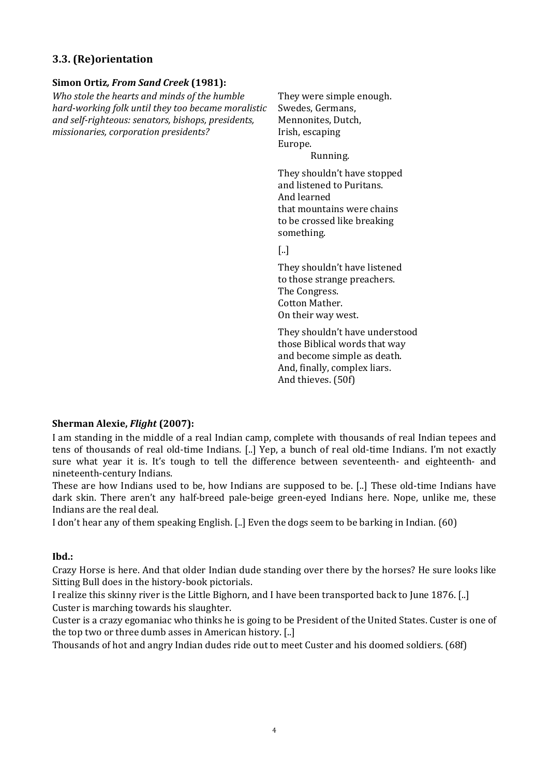### **3.3. (Re)orientation**

#### **Simon Ortiz***, From Sand Creek* **(1981):**

*Who stole the hearts and minds of the humble hard-working folk until they too became moralistic and self-righteous: senators, bishops, presidents, missionaries, corporation presidents?* 

They were simple enough. Swedes, Germans, Mennonites, Dutch, Irish, escaping Europe. Running.

They shouldn't have stopped and listened to Puritans. And learned that mountains were chains to be crossed like breaking something.

[..]

They shouldn't have listened to those strange preachers. The Congress. Cotton Mather. On their way west.

They shouldn't have understood those Biblical words that way and become simple as death. And, finally, complex liars. And thieves. (50f)

#### **Sherman Alexie,** *Flight* **(2007):**

I am standing in the middle of a real Indian camp, complete with thousands of real Indian tepees and tens of thousands of real old-time Indians. [..] Yep, a bunch of real old-time Indians. I'm not exactly sure what year it is. It's tough to tell the difference between seventeenth- and eighteenth- and nineteenth-century Indians.

These are how Indians used to be, how Indians are supposed to be. [..] These old-time Indians have dark skin. There aren't any half-breed pale-beige green-eyed Indians here. Nope, unlike me, these ndians are the real deal. I

I don't hear any of them speaking English. [..] Even the dogs seem to be barking in Indian. (60)

#### **Ibd.:**

Crazy Horse is here. And that older Indian dude standing over there by the horses? He sure looks like Sitting Bull does in the history-book pictorials.

I realize this skinny river is the Little Bighorn, and I have been transported back to June 1876. [..] Custer is marching towards his slaughter.

Custer is a crazy egomaniac who thinks he is going to be President of the United States. Custer is one of the top two or three dumb asses in American history. [..]

Thousands of hot and angry Indian dudes ride out to meet Custer and his doomed soldiers. (68f)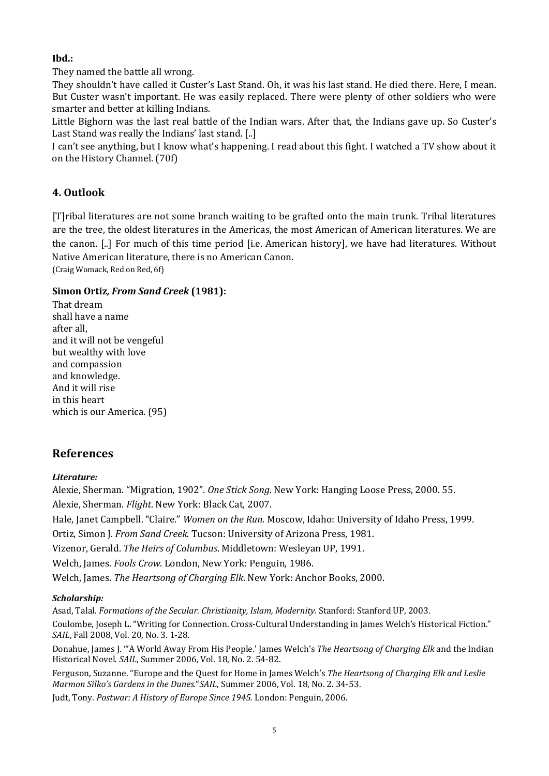### **Ibd.:**

They named the battle all wrong.

They shouldn't have called it Custer's Last Stand. Oh, it was his last stand. He died there. Here, I mean. But Custer wasn't important. He was easily replaced. There were plenty of other soldiers who were smarter and better at killing Indians.

Little Bighorn was the last real battle of the Indian wars. After that, the Indians gave up. So Custer's Last Stand was really the Indians' last stand. [..]

I can't see anything, but I know what's happening. I read about this fight. I watched a TV show about it on the History Channel. (70f)

## **4. Outlook**

[T]ribal literatures are not some branch waiting to be grafted onto the main trunk. Tribal literatures are the tree, the oldest literatures in the Americas, the most American of American literatures. We are the canon. [..] For much of this time period [i.e. American history], we have had literatures. Without Native American literature, there is no American Canon.

(Craig Womack, Red on Red, 6f)

#### **Simon Ortiz***, From Sand Creek* **(1981):**

That dream shall have a name after all, and it will not be vengeful but wealthy with love and compassion and knowledge. And it will rise in this heart which is our America. (95)

# **References**

#### *Literature:*

Alexie, Sherman. "Migration, 1902". *One Stick Song*. New York: Hanging Loose Press, 2000. 55. Alexie, Sherman. *Flight*. New York: Black Cat, 2007. Hale, Janet Campbell. "Claire." *Women on the Run*. Moscow, Idaho: University of Idaho Press, 1999. Ortiz, Simon J. *From Sand Creek*. Tucson: University of Arizona Press, 1981. Vizenor, Gerald. *The Heirs of Columbus*. Middletown: Wesleyan UP, 1991. Welch, James. *Fools Crow*. London, New York: Penguin, 1986. Welch, James. *The Heartsong of Charging Elk*. New York: Anchor Books, 2000.

#### *Scholarship:*

Asad, Talal. *Formations of the Secular. Christianity, Islam, Modernity.* Stanford: Stanford UP, 2003.

Coulombe, Joseph L. "Writing for Connection. Cross-Cultural Understanding in James Welch's Historical Fiction." *SAIL*, Fall 2008, Vol. 20, No. 3. 1-28.

Donahue, James J. "'A World Away From His People.' James Welch's *The Heartsong of Charging Elk* and the Indian Historical Novel. *SAIL*, Summer 2006, Vol. 18, No. 2. 54-82.

Ferguson, Suzanne. "Europe and the Quest for Home in James Welch's The Heartsong of Charging Elk and Leslie *ko's Gardens in the Dunes.*"*SAIL*, Summer 2006, Vol. 18, No. 2. 34-53. *Marmon Sil*

Judt, Tony. *Postwar: A History of Europe Since 1945.* London: Penguin, 2006.